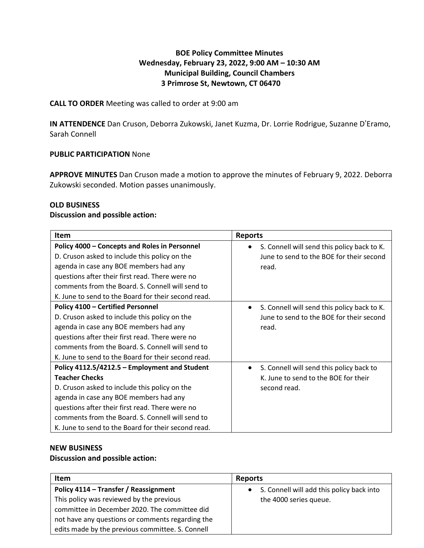# **BOE Policy Committee Minutes Wednesday, February 23, 2022, 9:00 AM – 10:30 AM Municipal Building, Council Chambers 3 Primrose St, Newtown, CT 06470**

# **CALL TO ORDER** Meeting was called to order at 9:00 am

**IN ATTENDENCE** Dan Cruson, Deborra Zukowski, Janet Kuzma, Dr. Lorrie Rodrigue, Suzanne D'Eramo, Sarah Connell

## **PUBLIC PARTICIPATION** None

**APPROVE MINUTES** Dan Cruson made a motion to approve the minutes of February 9, 2022. Deborra Zukowski seconded. Motion passes unanimously.

## **OLD BUSINESS**

## **Discussion and possible action:**

| <b>Item</b>                                                                                                                                                                                                                                                                                                                     | <b>Reports</b>                                                                                                |
|---------------------------------------------------------------------------------------------------------------------------------------------------------------------------------------------------------------------------------------------------------------------------------------------------------------------------------|---------------------------------------------------------------------------------------------------------------|
| Policy 4000 - Concepts and Roles in Personnel<br>D. Cruson asked to include this policy on the<br>agenda in case any BOE members had any<br>questions after their first read. There were no<br>comments from the Board. S. Connell will send to<br>K. June to send to the Board for their second read.                          | S. Connell will send this policy back to K.<br>$\bullet$<br>June to send to the BOE for their second<br>read. |
| <b>Policy 4100 - Certified Personnel</b><br>D. Cruson asked to include this policy on the<br>agenda in case any BOE members had any<br>questions after their first read. There were no<br>comments from the Board. S. Connell will send to<br>K. June to send to the Board for their second read.                               | S. Connell will send this policy back to K.<br>٠<br>June to send to the BOE for their second<br>read.         |
| Policy 4112.5/4212.5 - Employment and Student<br><b>Teacher Checks</b><br>D. Cruson asked to include this policy on the<br>agenda in case any BOE members had any<br>questions after their first read. There were no<br>comments from the Board. S. Connell will send to<br>K. June to send to the Board for their second read. | S. Connell will send this policy back to<br>$\bullet$<br>K. June to send to the BOE for their<br>second read. |

#### **NEW BUSINESS**

## **Discussion and possible action:**

| <b>Item</b>                                      | <b>Reports</b>                              |
|--------------------------------------------------|---------------------------------------------|
| Policy 4114 - Transfer / Reassignment            | • S. Connell will add this policy back into |
| This policy was reviewed by the previous         | the 4000 series queue.                      |
| committee in December 2020. The committee did    |                                             |
| not have any questions or comments regarding the |                                             |
| edits made by the previous committee. S. Connell |                                             |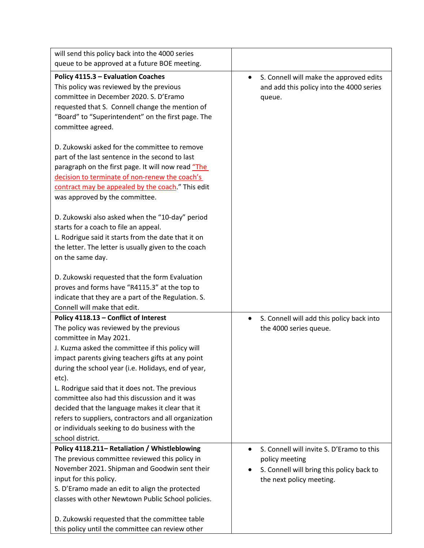| will send this policy back into the 4000 series                                                                                                                                                                                                                                                                                                                                                                                                                           |                                                                                                                                                   |
|---------------------------------------------------------------------------------------------------------------------------------------------------------------------------------------------------------------------------------------------------------------------------------------------------------------------------------------------------------------------------------------------------------------------------------------------------------------------------|---------------------------------------------------------------------------------------------------------------------------------------------------|
| queue to be approved at a future BOE meeting.                                                                                                                                                                                                                                                                                                                                                                                                                             |                                                                                                                                                   |
| <b>Policy 4115.3 - Evaluation Coaches</b><br>This policy was reviewed by the previous<br>committee in December 2020. S. D'Eramo<br>requested that S. Connell change the mention of<br>"Board" to "Superintendent" on the first page. The<br>committee agreed.<br>D. Zukowski asked for the committee to remove<br>part of the last sentence in the second to last<br>paragraph on the first page. It will now read "The<br>decision to terminate of non-renew the coach's | S. Connell will make the approved edits<br>$\bullet$<br>and add this policy into the 4000 series<br>queue.                                        |
| contract may be appealed by the coach." This edit                                                                                                                                                                                                                                                                                                                                                                                                                         |                                                                                                                                                   |
| was approved by the committee.                                                                                                                                                                                                                                                                                                                                                                                                                                            |                                                                                                                                                   |
| D. Zukowski also asked when the "10-day" period<br>starts for a coach to file an appeal.<br>L. Rodrigue said it starts from the date that it on<br>the letter. The letter is usually given to the coach<br>on the same day.                                                                                                                                                                                                                                               |                                                                                                                                                   |
| D. Zukowski requested that the form Evaluation                                                                                                                                                                                                                                                                                                                                                                                                                            |                                                                                                                                                   |
| proves and forms have "R4115.3" at the top to                                                                                                                                                                                                                                                                                                                                                                                                                             |                                                                                                                                                   |
| indicate that they are a part of the Regulation. S.                                                                                                                                                                                                                                                                                                                                                                                                                       |                                                                                                                                                   |
| Connell will make that edit.                                                                                                                                                                                                                                                                                                                                                                                                                                              |                                                                                                                                                   |
| Policy 4118.13 - Conflict of Interest<br>The policy was reviewed by the previous<br>committee in May 2021.<br>J. Kuzma asked the committee if this policy will<br>impact parents giving teachers gifts at any point<br>during the school year (i.e. Holidays, end of year,<br>etc).                                                                                                                                                                                       | S. Connell will add this policy back into<br>$\bullet$<br>the 4000 series queue.                                                                  |
| L. Rodrigue said that it does not. The previous                                                                                                                                                                                                                                                                                                                                                                                                                           |                                                                                                                                                   |
| committee also had this discussion and it was                                                                                                                                                                                                                                                                                                                                                                                                                             |                                                                                                                                                   |
| decided that the language makes it clear that it                                                                                                                                                                                                                                                                                                                                                                                                                          |                                                                                                                                                   |
| refers to suppliers, contractors and all organization                                                                                                                                                                                                                                                                                                                                                                                                                     |                                                                                                                                                   |
| or individuals seeking to do business with the                                                                                                                                                                                                                                                                                                                                                                                                                            |                                                                                                                                                   |
| school district.                                                                                                                                                                                                                                                                                                                                                                                                                                                          |                                                                                                                                                   |
| Policy 4118.211- Retaliation / Whistleblowing<br>The previous committee reviewed this policy in<br>November 2021. Shipman and Goodwin sent their<br>input for this policy.<br>S. D'Eramo made an edit to align the protected<br>classes with other Newtown Public School policies.                                                                                                                                                                                        | S. Connell will invite S. D'Eramo to this<br>$\bullet$<br>policy meeting<br>S. Connell will bring this policy back to<br>the next policy meeting. |
| D. Zukowski requested that the committee table<br>this policy until the committee can review other                                                                                                                                                                                                                                                                                                                                                                        |                                                                                                                                                   |